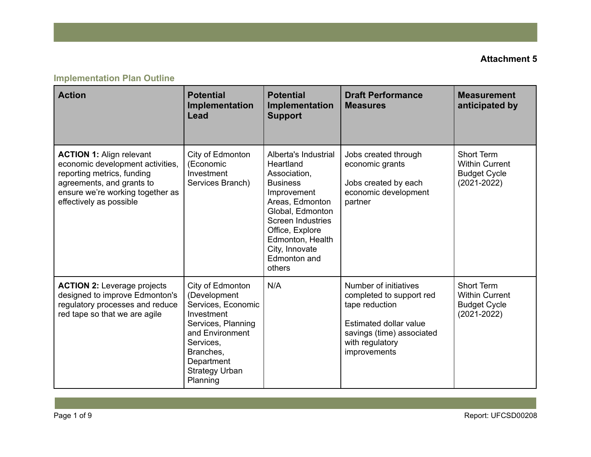# **Implementation Plan Outline**

| <b>Action</b>                                                                                                                                                                                 | <b>Potential</b><br>Implementation<br><b>Lead</b>                                                                                                                                          | <b>Potential</b><br>Implementation<br><b>Support</b>                                                                                                                                                                                      | <b>Draft Performance</b><br><b>Measures</b>                                                                                                                   | <b>Measurement</b><br>anticipated by                                          |
|-----------------------------------------------------------------------------------------------------------------------------------------------------------------------------------------------|--------------------------------------------------------------------------------------------------------------------------------------------------------------------------------------------|-------------------------------------------------------------------------------------------------------------------------------------------------------------------------------------------------------------------------------------------|---------------------------------------------------------------------------------------------------------------------------------------------------------------|-------------------------------------------------------------------------------|
| <b>ACTION 1: Align relevant</b><br>economic development activities,<br>reporting metrics, funding<br>agreements, and grants to<br>ensure we're working together as<br>effectively as possible | City of Edmonton<br>(Economic<br>Investment<br>Services Branch)                                                                                                                            | Alberta's Industrial<br>Heartland<br>Association,<br><b>Business</b><br>Improvement<br>Areas, Edmonton<br>Global, Edmonton<br><b>Screen Industries</b><br>Office, Explore<br>Edmonton, Health<br>City, Innovate<br>Edmonton and<br>others | Jobs created through<br>economic grants<br>Jobs created by each<br>economic development<br>partner                                                            | Short Term<br><b>Within Current</b><br><b>Budget Cycle</b><br>$(2021 - 2022)$ |
| <b>ACTION 2: Leverage projects</b><br>designed to improve Edmonton's<br>regulatory processes and reduce<br>red tape so that we are agile                                                      | City of Edmonton<br>(Development<br>Services, Economic<br>Investment<br>Services, Planning<br>and Environment<br>Services,<br>Branches,<br>Department<br><b>Strategy Urban</b><br>Planning | N/A                                                                                                                                                                                                                                       | Number of initiatives<br>completed to support red<br>tape reduction<br>Estimated dollar value<br>savings (time) associated<br>with regulatory<br>improvements | Short Term<br><b>Within Current</b><br><b>Budget Cycle</b><br>$(2021 - 2022)$ |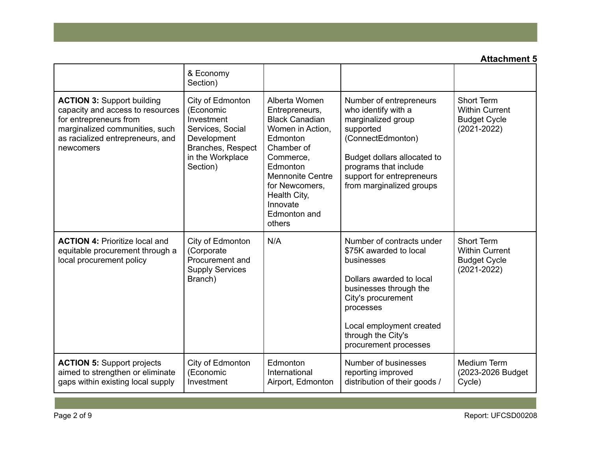|                                                                                                                                                                                    | & Economy<br>Section)                                                                                                               |                                                                                                                                                                                                                                    |                                                                                                                                                                                                                                       |                                                                               |
|------------------------------------------------------------------------------------------------------------------------------------------------------------------------------------|-------------------------------------------------------------------------------------------------------------------------------------|------------------------------------------------------------------------------------------------------------------------------------------------------------------------------------------------------------------------------------|---------------------------------------------------------------------------------------------------------------------------------------------------------------------------------------------------------------------------------------|-------------------------------------------------------------------------------|
| <b>ACTION 3: Support building</b><br>capacity and access to resources<br>for entrepreneurs from<br>marginalized communities, such<br>as racialized entrepreneurs, and<br>newcomers | City of Edmonton<br>(Economic<br>Investment<br>Services, Social<br>Development<br>Branches, Respect<br>in the Workplace<br>Section) | Alberta Women<br>Entrepreneurs,<br><b>Black Canadian</b><br>Women in Action,<br>Edmonton<br>Chamber of<br>Commerce,<br>Edmonton<br><b>Mennonite Centre</b><br>for Newcomers,<br>Health City,<br>Innovate<br>Edmonton and<br>others | Number of entrepreneurs<br>who identify with a<br>marginalized group<br>supported<br>(ConnectEdmonton)<br>Budget dollars allocated to<br>programs that include<br>support for entrepreneurs<br>from marginalized groups               | Short Term<br><b>Within Current</b><br><b>Budget Cycle</b><br>$(2021 - 2022)$ |
| <b>ACTION 4: Prioritize local and</b><br>equitable procurement through a<br>local procurement policy                                                                               | City of Edmonton<br>(Corporate<br>Procurement and<br><b>Supply Services</b><br>Branch)                                              | N/A                                                                                                                                                                                                                                | Number of contracts under<br>\$75K awarded to local<br>businesses<br>Dollars awarded to local<br>businesses through the<br>City's procurement<br>processes<br>Local employment created<br>through the City's<br>procurement processes | Short Term<br><b>Within Current</b><br><b>Budget Cycle</b><br>$(2021 - 2022)$ |
| <b>ACTION 5: Support projects</b><br>aimed to strengthen or eliminate<br>gaps within existing local supply                                                                         | City of Edmonton<br>(Economic<br>Investment                                                                                         | Edmonton<br>International<br>Airport, Edmonton                                                                                                                                                                                     | Number of businesses<br>reporting improved<br>distribution of their goods /                                                                                                                                                           | Medium Term<br>(2023-2026 Budget<br>Cycle)                                    |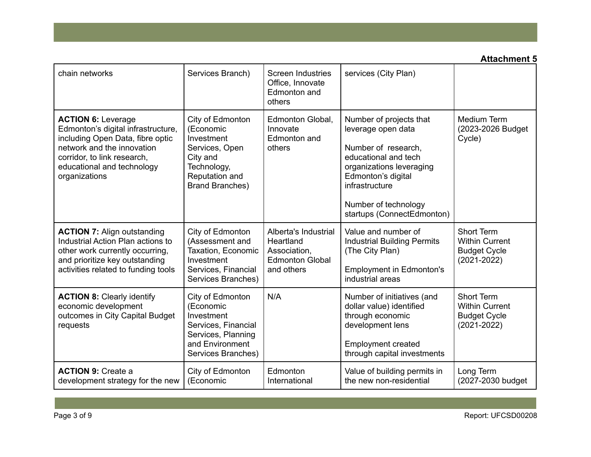| chain networks                                                                                                                                                                                                  | Services Branch)                                                                                                                     | <b>Screen Industries</b><br>Office, Innovate<br>Edmonton and<br>others                    | services (City Plan)                                                                                                                                                                                                   |                                                                                      |
|-----------------------------------------------------------------------------------------------------------------------------------------------------------------------------------------------------------------|--------------------------------------------------------------------------------------------------------------------------------------|-------------------------------------------------------------------------------------------|------------------------------------------------------------------------------------------------------------------------------------------------------------------------------------------------------------------------|--------------------------------------------------------------------------------------|
| <b>ACTION 6: Leverage</b><br>Edmonton's digital infrastructure,<br>including Open Data, fibre optic<br>network and the innovation<br>corridor, to link research,<br>educational and technology<br>organizations | City of Edmonton<br>(Economic<br>Investment<br>Services, Open<br>City and<br>Technology,<br>Reputation and<br><b>Brand Branches)</b> | Edmonton Global,<br>Innovate<br>Edmonton and<br>others                                    | Number of projects that<br>leverage open data<br>Number of research,<br>educational and tech<br>organizations leveraging<br>Edmonton's digital<br>infrastructure<br>Number of technology<br>startups (ConnectEdmonton) | Medium Term<br>(2023-2026 Budget<br>Cycle)                                           |
| <b>ACTION 7: Align outstanding</b><br>Industrial Action Plan actions to<br>other work currently occurring,<br>and prioritize key outstanding<br>activities related to funding tools                             | City of Edmonton<br>(Assessment and<br>Taxation, Economic<br>Investment<br>Services, Financial<br>Services Branches)                 | Alberta's Industrial<br>Heartland<br>Association,<br><b>Edmonton Global</b><br>and others | Value and number of<br><b>Industrial Building Permits</b><br>(The City Plan)<br><b>Employment in Edmonton's</b><br>industrial areas                                                                                    | <b>Short Term</b><br><b>Within Current</b><br><b>Budget Cycle</b><br>$(2021 - 2022)$ |
| <b>ACTION 8: Clearly identify</b><br>economic development<br>outcomes in City Capital Budget<br>requests                                                                                                        | City of Edmonton<br>(Economic<br>Investment<br>Services, Financial<br>Services, Planning<br>and Environment<br>Services Branches)    | N/A                                                                                       | Number of initiatives (and<br>dollar value) identified<br>through economic<br>development lens<br><b>Employment created</b><br>through capital investments                                                             | Short Term<br><b>Within Current</b><br><b>Budget Cycle</b><br>$(2021 - 2022)$        |
| <b>ACTION 9: Create a</b><br>development strategy for the new                                                                                                                                                   | City of Edmonton<br>(Economic                                                                                                        | Edmonton<br>International                                                                 | Value of building permits in<br>the new non-residential                                                                                                                                                                | Long Term<br>(2027-2030 budget                                                       |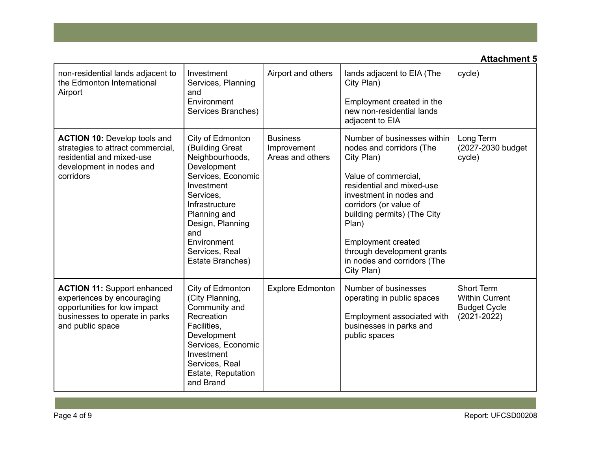| non-residential lands adjacent to<br>the Edmonton International<br>Airport                                                                             | Investment<br>Services, Planning<br>and<br>Environment<br>Services Branches)                                                                                                                                                             | Airport and others                                 | lands adjacent to EIA (The<br>City Plan)<br>Employment created in the<br>new non-residential lands<br>adjacent to EIA                                                                                                                                                                                                           | cycle)                                                                        |
|--------------------------------------------------------------------------------------------------------------------------------------------------------|------------------------------------------------------------------------------------------------------------------------------------------------------------------------------------------------------------------------------------------|----------------------------------------------------|---------------------------------------------------------------------------------------------------------------------------------------------------------------------------------------------------------------------------------------------------------------------------------------------------------------------------------|-------------------------------------------------------------------------------|
| <b>ACTION 10: Develop tools and</b><br>strategies to attract commercial,<br>residential and mixed-use<br>development in nodes and<br>corridors         | City of Edmonton<br>(Building Great<br>Neighbourhoods,<br>Development<br>Services, Economic<br>Investment<br>Services,<br>Infrastructure<br>Planning and<br>Design, Planning<br>and<br>Environment<br>Services, Real<br>Estate Branches) | <b>Business</b><br>Improvement<br>Areas and others | Number of businesses within<br>nodes and corridors (The<br>City Plan)<br>Value of commercial,<br>residential and mixed-use<br>investment in nodes and<br>corridors (or value of<br>building permits) (The City<br>Plan)<br><b>Employment created</b><br>through development grants<br>in nodes and corridors (The<br>City Plan) | Long Term<br>(2027-2030 budget<br>cycle)                                      |
| <b>ACTION 11: Support enhanced</b><br>experiences by encouraging<br>opportunities for low impact<br>businesses to operate in parks<br>and public space | City of Edmonton<br>(City Planning,<br>Community and<br>Recreation<br>Facilities,<br>Development<br>Services, Economic<br>Investment<br>Services, Real<br>Estate, Reputation<br>and Brand                                                | <b>Explore Edmonton</b>                            | Number of businesses<br>operating in public spaces<br>Employment associated with<br>businesses in parks and<br>public spaces                                                                                                                                                                                                    | Short Term<br><b>Within Current</b><br><b>Budget Cycle</b><br>$(2021 - 2022)$ |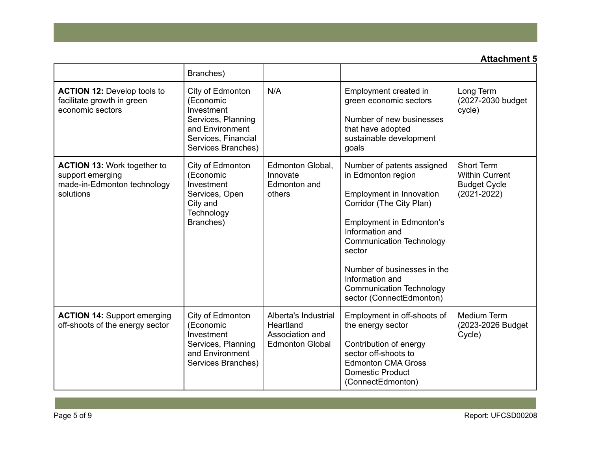|                                                                                                    | Branches)                                                                                                                         |                                                                                |                                                                                                                                                                                                                                                                                                                              |                                                                               |
|----------------------------------------------------------------------------------------------------|-----------------------------------------------------------------------------------------------------------------------------------|--------------------------------------------------------------------------------|------------------------------------------------------------------------------------------------------------------------------------------------------------------------------------------------------------------------------------------------------------------------------------------------------------------------------|-------------------------------------------------------------------------------|
| <b>ACTION 12: Develop tools to</b><br>facilitate growth in green<br>economic sectors               | City of Edmonton<br>(Economic<br>Investment<br>Services, Planning<br>and Environment<br>Services, Financial<br>Services Branches) | N/A                                                                            | Employment created in<br>green economic sectors<br>Number of new businesses<br>that have adopted<br>sustainable development<br>goals                                                                                                                                                                                         | Long Term<br>(2027-2030 budget<br>cycle)                                      |
| <b>ACTION 13: Work together to</b><br>support emerging<br>made-in-Edmonton technology<br>solutions | City of Edmonton<br>(Economic<br>Investment<br>Services, Open<br>City and<br>Technology<br>Branches)                              | Edmonton Global,<br>Innovate<br>Edmonton and<br>others                         | Number of patents assigned<br>in Edmonton region<br>Employment in Innovation<br>Corridor (The City Plan)<br><b>Employment in Edmonton's</b><br>Information and<br><b>Communication Technology</b><br>sector<br>Number of businesses in the<br>Information and<br><b>Communication Technology</b><br>sector (ConnectEdmonton) | Short Term<br><b>Within Current</b><br><b>Budget Cycle</b><br>$(2021 - 2022)$ |
| <b>ACTION 14: Support emerging</b><br>off-shoots of the energy sector                              | City of Edmonton<br>(Economic<br>Investment<br>Services, Planning<br>and Environment<br>Services Branches)                        | Alberta's Industrial<br>Heartland<br>Association and<br><b>Edmonton Global</b> | Employment in off-shoots of<br>the energy sector<br>Contribution of energy<br>sector off-shoots to<br><b>Edmonton CMA Gross</b><br><b>Domestic Product</b><br>(ConnectEdmonton)                                                                                                                                              | <b>Medium Term</b><br>(2023-2026 Budget<br>Cycle)                             |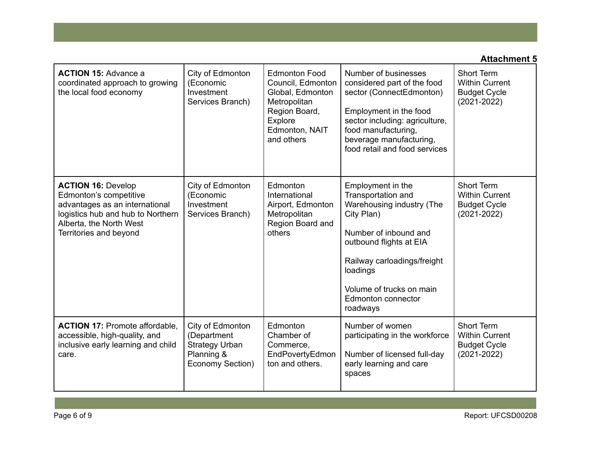| <b>ACTION 15: Advance a</b><br>coordinated approach to growing<br>the local food economy                                                                                        | City of Edmonton<br>(Economic<br>Investment<br>Services Branch)                            | <b>Edmonton Food</b><br>Council, Edmonton<br>Global, Edmonton<br>Metropolitan<br>Region Board,<br>Explore<br>Edmonton, NAIT<br>and others | Number of businesses<br>considered part of the food<br>sector (ConnectEdmonton)<br>Employment in the food<br>sector including: agriculture,<br>food manufacturing,<br>beverage manufacturing,<br>food retail and food services                  | Short Term<br><b>Within Current</b><br><b>Budget Cycle</b><br>$(2021 - 2022)$        |
|---------------------------------------------------------------------------------------------------------------------------------------------------------------------------------|--------------------------------------------------------------------------------------------|-------------------------------------------------------------------------------------------------------------------------------------------|-------------------------------------------------------------------------------------------------------------------------------------------------------------------------------------------------------------------------------------------------|--------------------------------------------------------------------------------------|
| <b>ACTION 16: Develop</b><br>Edmonton's competitive<br>advantages as an international<br>logistics hub and hub to Northern<br>Alberta, the North West<br>Territories and beyond | City of Edmonton<br>(Economic<br>Investment<br>Services Branch)                            | Edmonton<br>International<br>Airport, Edmonton<br>Metropolitan<br>Region Board and<br>others                                              | Employment in the<br>Transportation and<br>Warehousing industry (The<br>City Plan)<br>Number of inbound and<br>outbound flights at EIA<br>Railway carloadings/freight<br>loadings<br>Volume of trucks on main<br>Edmonton connector<br>roadways | Short Term<br><b>Within Current</b><br><b>Budget Cycle</b><br>$(2021 - 2022)$        |
| <b>ACTION 17: Promote affordable.</b><br>accessible, high-quality, and<br>inclusive early learning and child<br>care.                                                           | City of Edmonton<br>(Department<br><b>Strategy Urban</b><br>Planning &<br>Economy Section) | Edmonton<br>Chamber of<br>Commerce,<br>EndPovertyEdmon<br>ton and others.                                                                 | Number of women<br>participating in the workforce<br>Number of licensed full-day<br>early learning and care<br>spaces                                                                                                                           | <b>Short Term</b><br><b>Within Current</b><br><b>Budget Cycle</b><br>$(2021 - 2022)$ |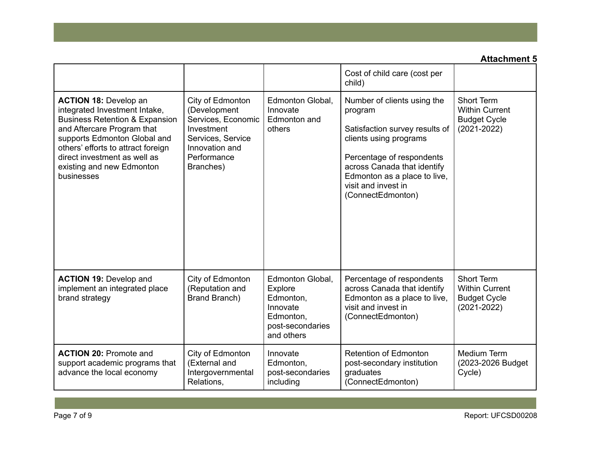|                                                                                                                                                                                                                                                                                           |                                                                                                                                         |                                                                                                     | Cost of child care (cost per<br>child)                                                                                                                                                                                                     |                                                                               |
|-------------------------------------------------------------------------------------------------------------------------------------------------------------------------------------------------------------------------------------------------------------------------------------------|-----------------------------------------------------------------------------------------------------------------------------------------|-----------------------------------------------------------------------------------------------------|--------------------------------------------------------------------------------------------------------------------------------------------------------------------------------------------------------------------------------------------|-------------------------------------------------------------------------------|
| <b>ACTION 18: Develop an</b><br>integrated Investment Intake,<br><b>Business Retention &amp; Expansion</b><br>and Aftercare Program that<br>supports Edmonton Global and<br>others' efforts to attract foreign<br>direct investment as well as<br>existing and new Edmonton<br>businesses | City of Edmonton<br>(Development<br>Services, Economic<br>Investment<br>Services, Service<br>Innovation and<br>Performance<br>Branches) | Edmonton Global,<br>Innovate<br>Edmonton and<br>others                                              | Number of clients using the<br>program<br>Satisfaction survey results of<br>clients using programs<br>Percentage of respondents<br>across Canada that identify<br>Edmonton as a place to live,<br>visit and invest in<br>(ConnectEdmonton) | Short Term<br><b>Within Current</b><br><b>Budget Cycle</b><br>$(2021 - 2022)$ |
| <b>ACTION 19: Develop and</b><br>implement an integrated place<br>brand strategy                                                                                                                                                                                                          | City of Edmonton<br>(Reputation and<br>Brand Branch)                                                                                    | Edmonton Global,<br>Explore<br>Edmonton,<br>Innovate<br>Edmonton,<br>post-secondaries<br>and others | Percentage of respondents<br>across Canada that identify<br>Edmonton as a place to live,<br>visit and invest in<br>(ConnectEdmonton)                                                                                                       | Short Term<br><b>Within Current</b><br><b>Budget Cycle</b><br>$(2021 - 2022)$ |
| <b>ACTION 20: Promote and</b><br>support academic programs that<br>advance the local economy                                                                                                                                                                                              | City of Edmonton<br>(External and<br>Intergovernmental<br>Relations,                                                                    | Innovate<br>Edmonton,<br>post-secondaries<br>including                                              | Retention of Edmonton<br>post-secondary institution<br>graduates<br>(ConnectEdmonton)                                                                                                                                                      | <b>Medium Term</b><br>(2023-2026 Budget<br>Cycle)                             |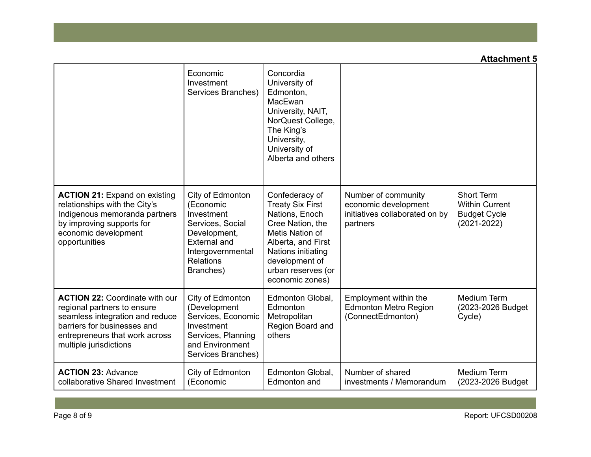|                                                                                                                                                                                                    | Economic<br>Investment<br>Services Branches)                                                                                                                 | Concordia<br>University of<br>Edmonton,<br>MacEwan<br>University, NAIT,<br>NorQuest College,<br>The King's<br>University,<br>University of<br>Alberta and others                                          |                                                                                           |                                                                               |
|----------------------------------------------------------------------------------------------------------------------------------------------------------------------------------------------------|--------------------------------------------------------------------------------------------------------------------------------------------------------------|-----------------------------------------------------------------------------------------------------------------------------------------------------------------------------------------------------------|-------------------------------------------------------------------------------------------|-------------------------------------------------------------------------------|
| <b>ACTION 21: Expand on existing</b><br>relationships with the City's<br>Indigenous memoranda partners<br>by improving supports for<br>economic development<br>opportunities                       | City of Edmonton<br>(Economic<br>Investment<br>Services, Social<br>Development,<br><b>External and</b><br>Intergovernmental<br><b>Relations</b><br>Branches) | Confederacy of<br><b>Treaty Six First</b><br>Nations, Enoch<br>Cree Nation, the<br>Metis Nation of<br>Alberta, and First<br>Nations initiating<br>development of<br>urban reserves (or<br>economic zones) | Number of community<br>economic development<br>initiatives collaborated on by<br>partners | Short Term<br><b>Within Current</b><br><b>Budget Cycle</b><br>$(2021 - 2022)$ |
| <b>ACTION 22: Coordinate with our</b><br>regional partners to ensure<br>seamless integration and reduce<br>barriers for businesses and<br>entrepreneurs that work across<br>multiple jurisdictions | City of Edmonton<br>(Development<br>Services, Economic<br>Investment<br>Services, Planning<br>and Environment<br>Services Branches)                          | Edmonton Global,<br>Edmonton<br>Metropolitan<br>Region Board and<br>others                                                                                                                                | Employment within the<br><b>Edmonton Metro Region</b><br>(ConnectEdmonton)                | <b>Medium Term</b><br>(2023-2026 Budget<br>Cycle)                             |
| <b>ACTION 23: Advance</b><br>collaborative Shared Investment                                                                                                                                       | City of Edmonton<br>(Economic                                                                                                                                | Edmonton Global,<br>Edmonton and                                                                                                                                                                          | Number of shared<br>investments / Memorandum                                              | <b>Medium Term</b><br>(2023-2026 Budget)                                      |